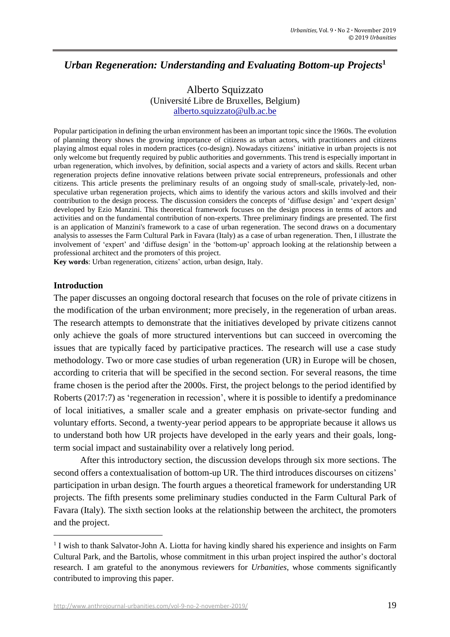# *Urban Regeneration: Understanding and Evaluating Bottom-up Projects***<sup>1</sup>**

# Alberto Squizzato (Université Libre de Bruxelles, Belgium) [alberto.squizzato@ulb.ac.be](mailto:alberto.squizzato@ulb.ac.be)

Popular participation in defining the urban environment has been an important topic since the 1960s. The evolution of planning theory shows the growing importance of citizens as urban actors, with practitioners and citizens playing almost equal roles in modern practices (co-design). Nowadays citizens' initiative in urban projects is not only welcome but frequently required by public authorities and governments. This trend is especially important in urban regeneration, which involves, by definition, social aspects and a variety of actors and skills. Recent urban regeneration projects define innovative relations between private social entrepreneurs, professionals and other citizens. This article presents the preliminary results of an ongoing study of small-scale, privately-led, nonspeculative urban regeneration projects, which aims to identify the various actors and skills involved and their contribution to the design process. The discussion considers the concepts of 'diffuse design' and 'expert design' developed by Ezio Manzini. This theoretical framework focuses on the design process in terms of actors and activities and on the fundamental contribution of non-experts. Three preliminary findings are presented. The first is an application of Manzini's framework to a case of urban regeneration. The second draws on a documentary analysis to assesses the Farm Cultural Park in Favara (Italy) as a case of urban regeneration. Then, I illustrate the involvement of 'expert' and 'diffuse design' in the 'bottom-up' approach looking at the relationship between a professional architect and the promoters of this project.

**Key words**: Urban regeneration, citizens' action, urban design, Italy.

#### **Introduction**

The paper discusses an ongoing doctoral research that focuses on the role of private citizens in the modification of the urban environment; more precisely, in the regeneration of urban areas. The research attempts to demonstrate that the initiatives developed by private citizens cannot only achieve the goals of more structured interventions but can succeed in overcoming the issues that are typically faced by participative practices. The research will use a case study methodology. Two or more case studies of urban regeneration (UR) in Europe will be chosen, according to criteria that will be specified in the second section. For several reasons, the time frame chosen is the period after the 2000s. First, the project belongs to the period identified by Roberts (2017:7) as 'regeneration in recession', where it is possible to identify a predominance of local initiatives, a smaller scale and a greater emphasis on private-sector funding and voluntary efforts. Second, a twenty-year period appears to be appropriate because it allows us to understand both how UR projects have developed in the early years and their goals, longterm social impact and sustainability over a relatively long period.

After this introductory section, the discussion develops through six more sections. The second offers a contextualisation of bottom-up UR. The third introduces discourses on citizens' participation in urban design. The fourth argues a theoretical framework for understanding UR projects. The fifth presents some preliminary studies conducted in the Farm Cultural Park of Favara (Italy). The sixth section looks at the relationship between the architect, the promoters and the project.

<sup>&</sup>lt;sup>1</sup> I wish to thank Salvator-John A. Liotta for having kindly shared his experience and insights on Farm Cultural Park, and the Bartolis, whose commitment in this urban project inspired the author's doctoral research. I am grateful to the anonymous reviewers for *Urbanities*, whose comments significantly contributed to improving this paper.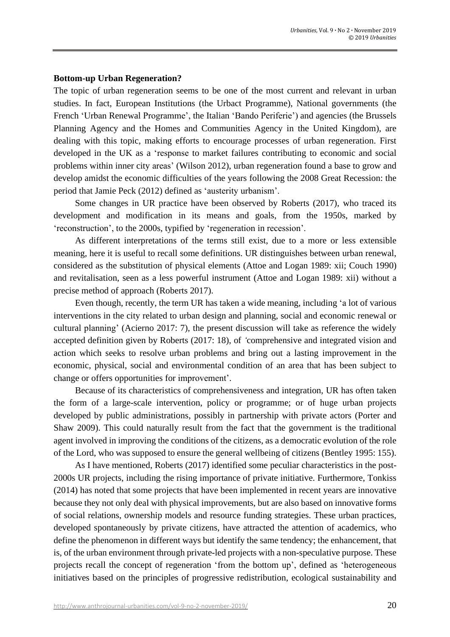#### **Bottom-up Urban Regeneration?**

The topic of urban regeneration seems to be one of the most current and relevant in urban studies. In fact, European Institutions (the Urbact Programme), National governments (the French 'Urban Renewal Programme', the Italian 'Bando Periferie') and agencies (the Brussels Planning Agency and the Homes and Communities Agency in the United Kingdom), are dealing with this topic, making efforts to encourage processes of urban regeneration. First developed in the UK as a 'response to market failures contributing to economic and social problems within inner city areas' (Wilson 2012), urban regeneration found a base to grow and develop amidst the economic difficulties of the years following the 2008 Great Recession: the period that Jamie Peck (2012) defined as 'austerity urbanism'.

Some changes in UR practice have been observed by Roberts (2017), who traced its development and modification in its means and goals, from the 1950s, marked by 'reconstruction', to the 2000s, typified by 'regeneration in recession'.

As different interpretations of the terms still exist, due to a more or less extensible meaning, here it is useful to recall some definitions. UR distinguishes between urban renewal, considered as the substitution of physical elements (Attoe and Logan 1989: xii; Couch 1990) and revitalisation, seen as a less powerful instrument (Attoe and Logan 1989: xii) without a precise method of approach (Roberts 2017).

Even though, recently, the term UR has taken a wide meaning, including 'a lot of various interventions in the city related to urban design and planning, social and economic renewal or cultural planning' (Acierno 2017: 7), the present discussion will take as reference the widely accepted definition given by Roberts (2017: 18), of *'*comprehensive and integrated vision and action which seeks to resolve urban problems and bring out a lasting improvement in the economic, physical, social and environmental condition of an area that has been subject to change or offers opportunities for improvement'.

Because of its characteristics of comprehensiveness and integration, UR has often taken the form of a large-scale intervention, policy or programme; or of huge urban projects developed by public administrations, possibly in partnership with private actors (Porter and Shaw 2009). This could naturally result from the fact that the government is the traditional agent involved in improving the conditions of the citizens, as a democratic evolution of the role of the Lord, who was supposed to ensure the general wellbeing of citizens (Bentley 1995: 155).

As I have mentioned, Roberts (2017) identified some peculiar characteristics in the post-2000s UR projects, including the rising importance of private initiative. Furthermore, Tonkiss (2014) has noted that some projects that have been implemented in recent years are innovative because they not only deal with physical improvements, but are also based on innovative forms of social relations, ownership models and resource funding strategies. These urban practices, developed spontaneously by private citizens, have attracted the attention of academics, who define the phenomenon in different ways but identify the same tendency; the enhancement, that is, of the urban environment through private-led projects with a non-speculative purpose. These projects recall the concept of regeneration 'from the bottom up', defined as 'heterogeneous initiatives based on the principles of progressive redistribution, ecological sustainability and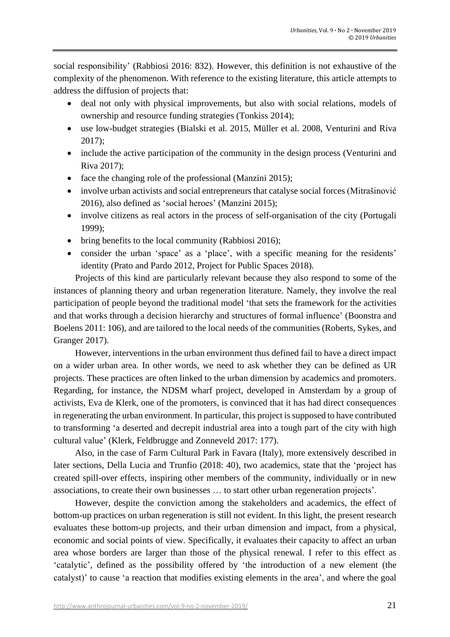social responsibility' (Rabbiosi 2016: 832). However, this definition is not exhaustive of the complexity of the phenomenon. With reference to the existing literature, this article attempts to address the diffusion of projects that:

- deal not only with physical improvements, but also with social relations, models of ownership and resource funding strategies (Tonkiss 2014);
- use low-budget strategies (Bialski et al. 2015, Müller et al. 2008, Venturini and Riva 2017);
- include the active participation of the community in the design process (Venturini and Riva 2017);
- face the changing role of the professional (Manzini 2015);
- involve urban activists and social entrepreneurs that catalyse social forces (Mitrašinović 2016), also defined as 'social heroes' (Manzini 2015);
- involve citizens as real actors in the process of self-organisation of the city (Portugali 1999);
- bring benefits to the local community (Rabbiosi 2016);
- consider the urban 'space' as a 'place', with a specific meaning for the residents' identity (Prato and Pardo 2012, Project for Public Spaces 2018).

Projects of this kind are particularly relevant because they also respond to some of the instances of planning theory and urban regeneration literature. Namely, they involve the real participation of people beyond the traditional model 'that sets the framework for the activities and that works through a decision hierarchy and structures of formal influence' (Boonstra and Boelens 2011: 106)*,* and are tailored to the local needs of the communities (Roberts, Sykes, and Granger 2017).

However, interventions in the urban environment thus defined fail to have a direct impact on a wider urban area. In other words, we need to ask whether they can be defined as UR projects. These practices are often linked to the urban dimension by academics and promoters. Regarding, for instance, the NDSM wharf project, developed in Amsterdam by a group of activists, Eva de Klerk, one of the promoters, is convinced that it has had direct consequences in regenerating the urban environment. In particular, this project is supposed to have contributed to transforming 'a deserted and decrepit industrial area into a tough part of the city with high cultural value' (Klerk, Feldbrugge and Zonneveld 2017: 177).

Also, in the case of Farm Cultural Park in Favara (Italy), more extensively described in later sections, Della Lucia and Trunfio (2018: 40), two academics, state that the 'project has created spill-over effects, inspiring other members of the community, individually or in new associations, to create their own businesses … to start other urban regeneration projects'.

However, despite the conviction among the stakeholders and academics, the effect of bottom-up practices on urban regeneration is still not evident. In this light, the present research evaluates these bottom-up projects, and their urban dimension and impact, from a physical, economic and social points of view. Specifically, it evaluates their capacity to affect an urban area whose borders are larger than those of the physical renewal. I refer to this effect as 'catalytic', defined as the possibility offered by 'the introduction of a new element (the catalyst)' to cause 'a reaction that modifies existing elements in the area', and where the goal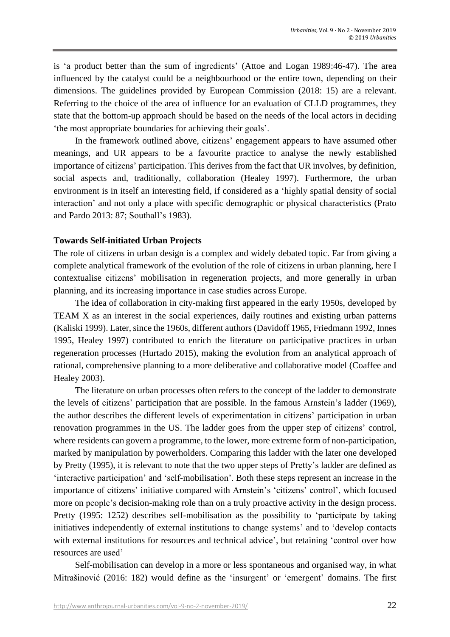is 'a product better than the sum of ingredients' (Attoe and Logan 1989:46-47). The area influenced by the catalyst could be a neighbourhood or the entire town, depending on their dimensions. The guidelines provided by European Commission (2018: 15) are a relevant. Referring to the choice of the area of influence for an evaluation of CLLD programmes, they state that the bottom-up approach should be based on the needs of the local actors in deciding 'the most appropriate boundaries for achieving their goals'.

In the framework outlined above, citizens' engagement appears to have assumed other meanings, and UR appears to be a favourite practice to analyse the newly established importance of citizens' participation. This derives from the fact that UR involves, by definition, social aspects and, traditionally, collaboration (Healey 1997). Furthermore, the urban environment is in itself an interesting field, if considered as a 'highly spatial density of social interaction' and not only a place with specific demographic or physical characteristics (Prato and Pardo 2013: 87; Southall's 1983).

#### **Towards Self-initiated Urban Projects**

The role of citizens in urban design is a complex and widely debated topic. Far from giving a complete analytical framework of the evolution of the role of citizens in urban planning, here I contextualise citizens' mobilisation in regeneration projects, and more generally in urban planning, and its increasing importance in case studies across Europe.

The idea of collaboration in city-making first appeared in the early 1950s, developed by TEAM X as an interest in the social experiences, daily routines and existing urban patterns (Kaliski 1999). Later, since the 1960s, different authors (Davidoff 1965, Friedmann 1992, Innes 1995, Healey 1997) contributed to enrich the literature on participative practices in urban regeneration processes (Hurtado 2015), making the evolution from an analytical approach of rational, comprehensive planning to a more deliberative and collaborative model (Coaffee and Healey 2003).

The literature on urban processes often refers to the concept of the ladder to demonstrate the levels of citizens' participation that are possible. In the famous Arnstein's ladder (1969), the author describes the different levels of experimentation in citizens' participation in urban renovation programmes in the US. The ladder goes from the upper step of citizens' control, where residents can govern a programme, to the lower, more extreme form of non-participation, marked by manipulation by powerholders. Comparing this ladder with the later one developed by Pretty (1995), it is relevant to note that the two upper steps of Pretty's ladder are defined as 'interactive participation' and 'self-mobilisation'. Both these steps represent an increase in the importance of citizens' initiative compared with Arnstein's 'citizens' control', which focused more on people's decision-making role than on a truly proactive activity in the design process. Pretty (1995: 1252) describes self-mobilisation as the possibility to 'participate by taking initiatives independently of external institutions to change systems' and to 'develop contacts with external institutions for resources and technical advice', but retaining 'control over how resources are used'

Self-mobilisation can develop in a more or less spontaneous and organised way, in what Mitrašinović (2016: 182) would define as the 'insurgent' or 'emergent' domains. The first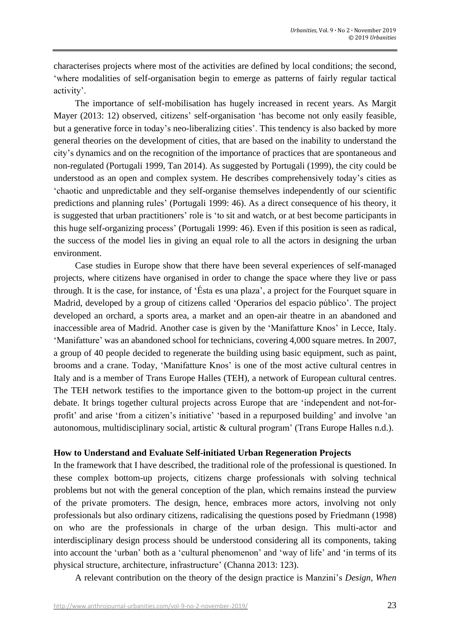characterises projects where most of the activities are defined by local conditions; the second, 'where modalities of self-organisation begin to emerge as patterns of fairly regular tactical activity'.

The importance of self-mobilisation has hugely increased in recent years. As Margit Mayer (2013: 12) observed, citizens' self-organisation 'has become not only easily feasible, but a generative force in today's neo-liberalizing cities'. This tendency is also backed by more general theories on the development of cities, that are based on the inability to understand the city's dynamics and on the recognition of the importance of practices that are spontaneous and non-regulated (Portugali 1999, Tan 2014). As suggested by Portugali (1999), the city could be understood as an open and complex system. He describes comprehensively today's cities as 'chaotic and unpredictable and they self-organise themselves independently of our scientific predictions and planning rules' (Portugali 1999: 46). As a direct consequence of his theory, it is suggested that urban practitioners' role is 'to sit and watch, or at best become participants in this huge self-organizing process' (Portugali 1999: 46). Even if this position is seen as radical, the success of the model lies in giving an equal role to all the actors in designing the urban environment.

Case studies in Europe show that there have been several experiences of self-managed projects, where citizens have organised in order to change the space where they live or pass through. It is the case, for instance, of 'Ésta es una plaza', a project for the Fourquet square in Madrid, developed by a group of citizens called 'Operarios del espacio público'. The project developed an orchard, a sports area, a market and an open-air theatre in an abandoned and inaccessible area of Madrid. Another case is given by the 'Manifatture Knos' in Lecce, Italy. 'Manifatture' was an abandoned school for technicians, covering 4,000 square metres. In 2007, a group of 40 people decided to regenerate the building using basic equipment, such as paint, brooms and a crane. Today, 'Manifatture Knos' is one of the most active cultural centres in Italy and is a member of Trans Europe Halles (TEH), a network of European cultural centres. The TEH network testifies to the importance given to the bottom-up project in the current debate. It brings together cultural projects across Europe that are 'independent and not-forprofit' and arise 'from a citizen's initiative' 'based in a repurposed building' and involve 'an autonomous, multidisciplinary social, artistic & cultural program' (Trans Europe Halles n.d.).

### **How to Understand and Evaluate Self-initiated Urban Regeneration Projects**

In the framework that I have described, the traditional role of the professional is questioned. In these complex bottom-up projects, citizens charge professionals with solving technical problems but not with the general conception of the plan, which remains instead the purview of the private promoters. The design, hence, embraces more actors, involving not only professionals but also ordinary citizens, radicalising the questions posed by Friedmann (1998) on who are the professionals in charge of the urban design. This multi-actor and interdisciplinary design process should be understood considering all its components, taking into account the 'urban' both as a 'cultural phenomenon' and 'way of life' and 'in terms of its physical structure, architecture, infrastructure' (Channa 2013: 123).

A relevant contribution on the theory of the design practice is Manzini's *Design, When*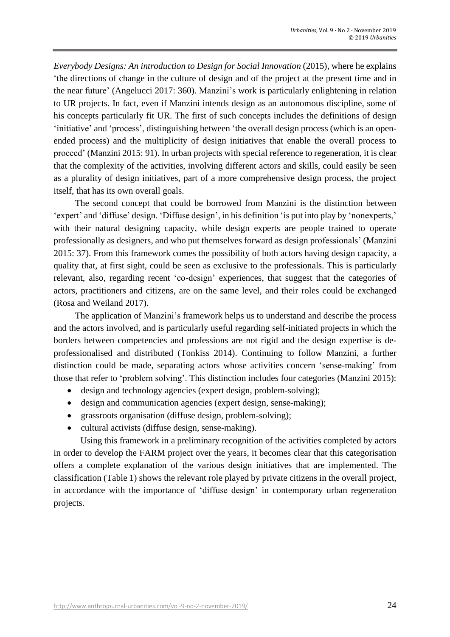*Everybody Designs: An introduction to Design for Social Innovation* (2015), where he explains 'the directions of change in the culture of design and of the project at the present time and in the near future' (Angelucci 2017: 360). Manzini's work is particularly enlightening in relation to UR projects. In fact, even if Manzini intends design as an autonomous discipline, some of his concepts particularly fit UR. The first of such concepts includes the definitions of design 'initiative' and 'process', distinguishing between 'the overall design process (which is an openended process) and the multiplicity of design initiatives that enable the overall process to proceed' (Manzini 2015: 91). In urban projects with special reference to regeneration, it is clear that the complexity of the activities, involving different actors and skills, could easily be seen as a plurality of design initiatives, part of a more comprehensive design process, the project itself, that has its own overall goals.

The second concept that could be borrowed from Manzini is the distinction between 'expert' and 'diffuse' design. 'Diffuse design', in his definition 'is put into play by 'nonexperts,' with their natural designing capacity, while design experts are people trained to operate professionally as designers, and who put themselves forward as design professionals' (Manzini 2015: 37). From this framework comes the possibility of both actors having design capacity, a quality that, at first sight, could be seen as exclusive to the professionals. This is particularly relevant, also, regarding recent 'co-design' experiences, that suggest that the categories of actors, practitioners and citizens, are on the same level, and their roles could be exchanged (Rosa and Weiland 2017).

The application of Manzini's framework helps us to understand and describe the process and the actors involved, and is particularly useful regarding self-initiated projects in which the borders between competencies and professions are not rigid and the design expertise is deprofessionalised and distributed (Tonkiss 2014). Continuing to follow Manzini, a further distinction could be made, separating actors whose activities concern 'sense-making' from those that refer to 'problem solving'. This distinction includes four categories (Manzini 2015):

- design and technology agencies (expert design, problem-solving);
- design and communication agencies (expert design, sense-making);
- grassroots organisation (diffuse design, problem-solving);
- cultural activists (diffuse design, sense-making).

Using this framework in a preliminary recognition of the activities completed by actors in order to develop the FARM project over the years, it becomes clear that this categorisation offers a complete explanation of the various design initiatives that are implemented. The classification (Table 1) shows the relevant role played by private citizens in the overall project, in accordance with the importance of 'diffuse design' in contemporary urban regeneration projects.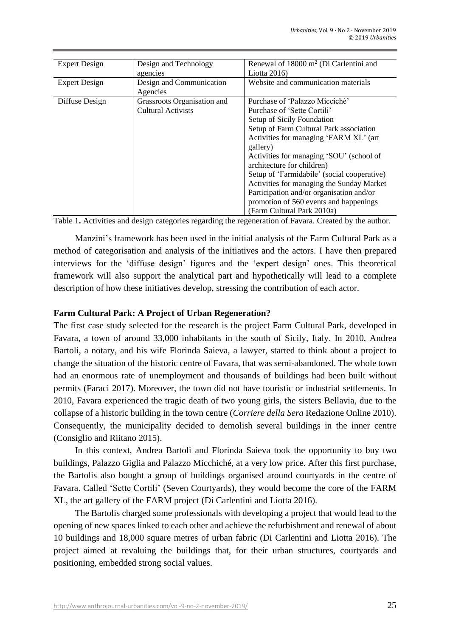| <b>Expert Design</b> | Design and Technology<br>agencies                 | Renewal of 18000 m <sup>2</sup> (Di Carlentini and<br>Liotta $2016$                                                                                                                                                                                                                                                                                                                                                                                                                    |
|----------------------|---------------------------------------------------|----------------------------------------------------------------------------------------------------------------------------------------------------------------------------------------------------------------------------------------------------------------------------------------------------------------------------------------------------------------------------------------------------------------------------------------------------------------------------------------|
| <b>Expert Design</b> | Design and Communication<br>Agencies              | Website and communication materials                                                                                                                                                                                                                                                                                                                                                                                                                                                    |
| Diffuse Design       | Grassroots Organisation and<br>Cultural Activists | Purchase of 'Palazzo Miccichè'<br>Purchase of 'Sette Cortili'<br>Setup of Sicily Foundation<br>Setup of Farm Cultural Park association<br>Activities for managing 'FARM XL' (art<br>gallery)<br>Activities for managing 'SOU' (school of<br>architecture for children)<br>Setup of 'Farmidabile' (social cooperative)<br>Activities for managing the Sunday Market<br>Participation and/or organisation and/or<br>promotion of 560 events and happenings<br>(Farm Cultural Park 2010a) |

Table 1**.** Activities and design categories regarding the regeneration of Favara. Created by the author.

Manzini's framework has been used in the initial analysis of the Farm Cultural Park as a method of categorisation and analysis of the initiatives and the actors. I have then prepared interviews for the 'diffuse design' figures and the 'expert design' ones. This theoretical framework will also support the analytical part and hypothetically will lead to a complete description of how these initiatives develop, stressing the contribution of each actor.

## **Farm Cultural Park: A Project of Urban Regeneration?**

The first case study selected for the research is the project Farm Cultural Park, developed in Favara, a town of around 33,000 inhabitants in the south of Sicily, Italy. In 2010, Andrea Bartoli, a notary, and his wife Florinda Saieva, a lawyer, started to think about a project to change the situation of the historic centre of Favara, that was semi-abandoned. The whole town had an enormous rate of unemployment and thousands of buildings had been built without permits (Faraci 2017). Moreover, the town did not have touristic or industrial settlements. In 2010, Favara experienced the tragic death of two young girls, the sisters Bellavia, due to the collapse of a historic building in the town centre (*Corriere della Sera* Redazione Online 2010). Consequently, the municipality decided to demolish several buildings in the inner centre (Consiglio and Riitano 2015).

In this context, Andrea Bartoli and Florinda Saieva took the opportunity to buy two buildings, Palazzo Giglia and Palazzo Micchiché, at a very low price. After this first purchase, the Bartolis also bought a group of buildings organised around courtyards in the centre of Favara. Called 'Sette Cortili' (Seven Courtyards), they would become the core of the FARM XL, the art gallery of the FARM project (Di Carlentini and Liotta 2016).

The Bartolis charged some professionals with developing a project that would lead to the opening of new spaces linked to each other and achieve the refurbishment and renewal of about 10 buildings and 18,000 square metres of urban fabric (Di Carlentini and Liotta 2016). The project aimed at revaluing the buildings that, for their urban structures, courtyards and positioning, embedded strong social values.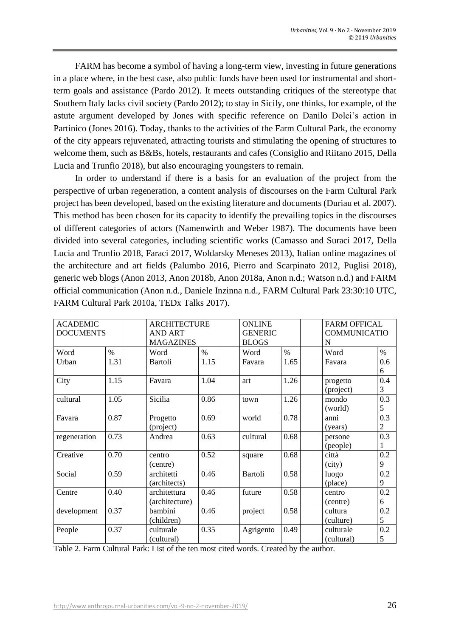FARM has become a symbol of having a long-term view, investing in future generations in a place where, in the best case, also public funds have been used for instrumental and shortterm goals and assistance (Pardo 2012). It meets outstanding critiques of the stereotype that Southern Italy lacks civil society (Pardo 2012); to stay in Sicily, one thinks, for example, of the astute argument developed by Jones with specific reference on Danilo Dolci's action in Partinico (Jones 2016). Today, thanks to the activities of the Farm Cultural Park, the economy of the city appears rejuvenated, attracting tourists and stimulating the opening of structures to welcome them, such as B&Bs, hotels, restaurants and cafes (Consiglio and Riitano 2015, Della Lucia and Trunfio 2018), but also encouraging youngsters to remain.

In order to understand if there is a basis for an evaluation of the project from the perspective of urban regeneration, a content analysis of discourses on the Farm Cultural Park project has been developed, based on the existing literature and documents (Duriau et al. 2007). This method has been chosen for its capacity to identify the prevailing topics in the discourses of different categories of actors (Namenwirth and Weber 1987). The documents have been divided into several categories, including scientific works (Camasso and Suraci 2017, Della Lucia and Trunfio 2018, Faraci 2017, Woldarsky Meneses 2013), Italian online magazines of the architecture and art fields (Palumbo 2016, Pierro and Scarpinato 2012, Puglisi 2018), generic web blogs (Anon 2013, Anon 2018b, Anon 2018a, Anon n.d.; Watson n.d.) and FARM official communication (Anon n.d., Daniele Inzinna n.d., FARM Cultural Park 23:30:10 UTC, FARM Cultural Park 2010a, TEDx Talks 2017).

| <b>ACADEMIC</b>  |      | <b>ARCHITECTURE</b> |      |                | <b>ONLINE</b>  |            | <b>FARM OFFICAL</b> |  |
|------------------|------|---------------------|------|----------------|----------------|------------|---------------------|--|
| <b>DOCUMENTS</b> |      | <b>AND ART</b>      |      |                | <b>GENERIC</b> |            | <b>COMMUNICATIO</b> |  |
|                  |      | <b>MAGAZINES</b>    |      | <b>BLOGS</b>   |                | N          |                     |  |
| Word             | $\%$ | Word                | $\%$ | Word           | $\%$           | Word       | $\%$                |  |
| Urban            | 1.31 | <b>Bartoli</b>      | 1.15 | Favara         | 1.65           | Favara     | 0.6                 |  |
|                  |      |                     |      |                |                |            | 6                   |  |
| City             | 1.15 | Favara              | 1.04 | art            | 1.26           | progetto   | 0.4                 |  |
|                  |      |                     |      |                |                | (project)  | 3                   |  |
| cultural         | 1.05 | Sicilia             | 0.86 | town           | 1.26           | mondo      | 0.3                 |  |
|                  |      |                     |      |                |                | (world)    | 5                   |  |
| Favara           | 0.87 | Progetto            | 0.69 | world          | 0.78           | anni       | 0.3                 |  |
|                  |      | (project)           |      |                |                | (years)    | $\mathbf{2}$        |  |
| regeneration     | 0.73 | Andrea              | 0.63 | cultural       | 0.68           | persone    | 0.3                 |  |
|                  |      |                     |      |                |                | (people)   |                     |  |
| Creative         | 0.70 | centro              | 0.52 | square         | 0.68           | città      | 0.2                 |  |
|                  |      | (centre)            |      |                |                | (city)     | 9                   |  |
| Social           | 0.59 | architetti          | 0.46 | <b>Bartoli</b> | 0.58           | luogo      | 0.2                 |  |
|                  |      | (architects)        |      |                |                | (place)    | 9                   |  |
| Centre           | 0.40 | architettura        | 0.46 | future         | 0.58           | centro     | 0.2                 |  |
|                  |      | (architecture)      |      |                |                | (centre)   | 6                   |  |
| development      | 0.37 | bambini             | 0.46 | project        | 0.58           | cultura    | 0.2                 |  |
|                  |      | (children)          |      |                |                | (culture)  | 5                   |  |
| People           | 0.37 | culturale           | 0.35 | Agrigento      | 0.49           | culturale  | 0.2                 |  |
|                  |      | (cultural)          |      |                |                | (cultural) | 5                   |  |

Table 2. Farm Cultural Park: List of the ten most cited words. Created by the author.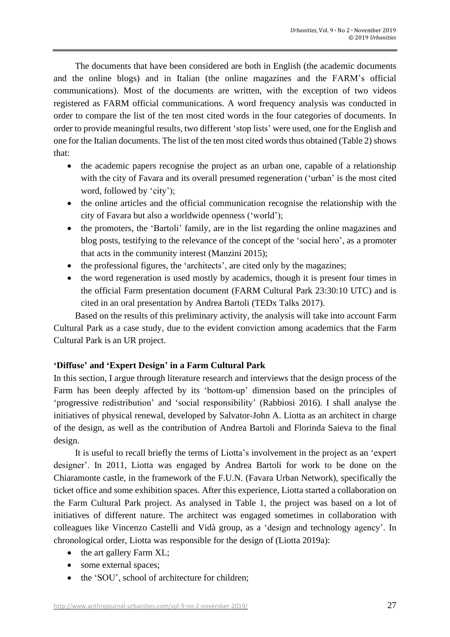The documents that have been considered are both in English (the academic documents and the online blogs) and in Italian (the online magazines and the FARM's official communications). Most of the documents are written, with the exception of two videos registered as FARM official communications. A word frequency analysis was conducted in order to compare the list of the ten most cited words in the four categories of documents. In order to provide meaningful results, two different 'stop lists' were used, one for the English and one for the Italian documents. The list of the ten most cited words thus obtained (Table 2) shows that:

- the academic papers recognise the project as an urban one, capable of a relationship with the city of Favara and its overall presumed regeneration ('urban' is the most cited word, followed by 'city');
- the online articles and the official communication recognise the relationship with the city of Favara but also a worldwide openness ('world');
- the promoters, the 'Bartoli' family, are in the list regarding the online magazines and blog posts, testifying to the relevance of the concept of the 'social hero', as a promoter that acts in the community interest (Manzini 2015);
- the professional figures, the 'architects', are cited only by the magazines;
- the word regeneration is used mostly by academics, though it is present four times in the official Farm presentation document (FARM Cultural Park 23:30:10 UTC) and is cited in an oral presentation by Andrea Bartoli (TEDx Talks 2017).

Based on the results of this preliminary activity, the analysis will take into account Farm Cultural Park as a case study, due to the evident conviction among academics that the Farm Cultural Park is an UR project.

### **'Diffuse' and 'Expert Design' in a Farm Cultural Park**

In this section, I argue through literature research and interviews that the design process of the Farm has been deeply affected by its 'bottom-up' dimension based on the principles of 'progressive redistribution' and 'social responsibility' (Rabbiosi 2016). I shall analyse the initiatives of physical renewal, developed by Salvator-John A. Liotta as an architect in charge of the design, as well as the contribution of Andrea Bartoli and Florinda Saieva to the final design.

It is useful to recall briefly the terms of Liotta's involvement in the project as an 'expert designer'. In 2011, Liotta was engaged by Andrea Bartoli for work to be done on the Chiaramonte castle, in the framework of the F.U.N. (Favara Urban Network), specifically the ticket office and some exhibition spaces. After this experience, Liotta started a collaboration on the Farm Cultural Park project. As analysed in Table 1, the project was based on a lot of initiatives of different nature. The architect was engaged sometimes in collaboration with colleagues like Vincenzo Castelli and Vidà group, as a 'design and technology agency'. In chronological order, Liotta was responsible for the design of (Liotta 2019a):

- the art gallery Farm XL;
- some external spaces;
- the 'SOU', school of architecture for children;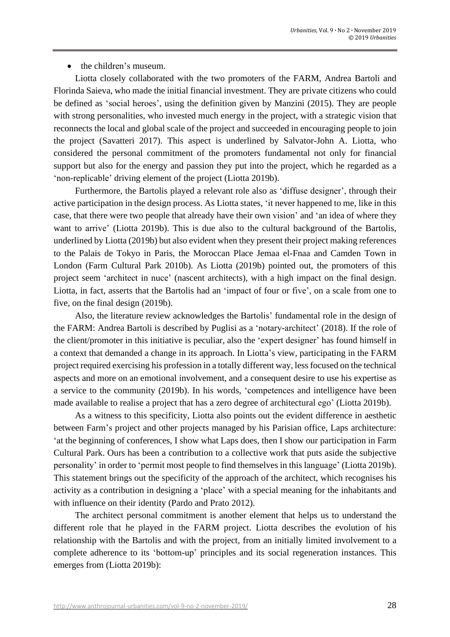## • the children's museum.

Liotta closely collaborated with the two promoters of the FARM, Andrea Bartoli and Florinda Saieva, who made the initial financial investment. They are private citizens who could be defined as 'social heroes', using the definition given by Manzini (2015). They are people with strong personalities, who invested much energy in the project, with a strategic vision that reconnects the local and global scale of the project and succeeded in encouraging people to join the project (Savatteri 2017). This aspect is underlined by Salvator-John A. Liotta, who considered the personal commitment of the promoters fundamental not only for financial support but also for the energy and passion they put into the project, which he regarded as a 'non-replicable' driving element of the project (Liotta 2019b).

Furthermore, the Bartolis played a relevant role also as 'diffuse designer', through their active participation in the design process. As Liotta states, 'it never happened to me, like in this case, that there were two people that already have their own vision' and 'an idea of where they want to arrive' (Liotta 2019b). This is due also to the cultural background of the Bartolis, underlined by Liotta (2019b) but also evident when they present their project making references to the Palais de Tokyo in Paris, the Moroccan Place Jemaa el-Fnaa and Camden Town in London (Farm Cultural Park 2010b). As Liotta (2019b) pointed out, the promoters of this project seem 'architect in nuce' (nascent architects), with a high impact on the final design. Liotta, in fact, asserts that the Bartolis had an 'impact of four or five', on a scale from one to five, on the final design (2019b).

Also, the literature review acknowledges the Bartolis' fundamental role in the design of the FARM: Andrea Bartoli is described by Puglisi as a 'notary-architect' (2018). If the role of the client/promoter in this initiative is peculiar, also the 'expert designer' has found himself in a context that demanded a change in its approach. In Liotta's view, participating in the FARM project required exercising his profession in a totally different way, lessfocused on the technical aspects and more on an emotional involvement, and a consequent desire to use his expertise as a service to the community (2019b). In his words, 'competences and intelligence have been made available to realise a project that has a zero degree of architectural ego' (Liotta 2019b).

As a witness to this specificity, Liotta also points out the evident difference in aesthetic between Farm's project and other projects managed by his Parisian office, Laps architecture: 'at the beginning of conferences, I show what Laps does, then I show our participation in Farm Cultural Park. Ours has been a contribution to a collective work that puts aside the subjective personality' in order to 'permit most people to find themselves in this language' (Liotta 2019b). This statement brings out the specificity of the approach of the architect, which recognises his activity as a contribution in designing a 'place' with a special meaning for the inhabitants and with influence on their identity (Pardo and Prato 2012).

The architect personal commitment is another element that helps us to understand the different role that he played in the FARM project. Liotta describes the evolution of his relationship with the Bartolis and with the project, from an initially limited involvement to a complete adherence to its 'bottom-up' principles and its social regeneration instances. This emerges from (Liotta 2019b):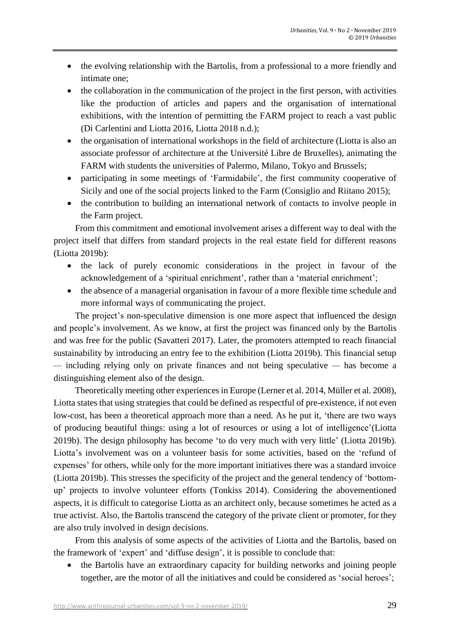- the evolving relationship with the Bartolis, from a professional to a more friendly and intimate one;
- the collaboration in the communication of the project in the first person, with activities like the production of articles and papers and the organisation of international exhibitions, with the intention of permitting the FARM project to reach a vast public (Di Carlentini and Liotta 2016, Liotta 2018 n.d.);
- the organisation of international workshops in the field of architecture (Liotta is also an associate professor of architecture at the Université Libre de Bruxelles), animating the FARM with students the universities of Palermo, Milano, Tokyo and Brussels;
- participating in some meetings of 'Farmidabile', the first community cooperative of Sicily and one of the social projects linked to the Farm (Consiglio and Riitano 2015);
- the contribution to building an international network of contacts to involve people in the Farm project.

From this commitment and emotional involvement arises a different way to deal with the project itself that differs from standard projects in the real estate field for different reasons (Liotta 2019b):

- the lack of purely economic considerations in the project in favour of the acknowledgement of a 'spiritual enrichment', rather than a 'material enrichment';
- the absence of a managerial organisation in favour of a more flexible time schedule and more informal ways of communicating the project.

The project's non-speculative dimension is one more aspect that influenced the design and people's involvement. As we know, at first the project was financed only by the Bartolis and was free for the public (Savatteri 2017). Later, the promoters attempted to reach financial sustainability by introducing an entry fee to the exhibition (Liotta 2019b). This financial setup *—* including relying only on private finances and not being speculative *—* has become a distinguishing element also of the design.

Theoretically meeting other experiences in Europe (Lerner et al. 2014, Müller et al. 2008), Liotta states that using strategies that could be defined as respectful of pre-existence, if not even low-cost, has been a theoretical approach more than a need. As he put it, 'there are two ways of producing beautiful things: using a lot of resources or using a lot of intelligence'(Liotta 2019b). The design philosophy has become 'to do very much with very little' (Liotta 2019b). Liotta's involvement was on a volunteer basis for some activities, based on the 'refund of expenses' for others, while only for the more important initiatives there was a standard invoice (Liotta 2019b). This stresses the specificity of the project and the general tendency of 'bottomup' projects to involve volunteer efforts (Tonkiss 2014). Considering the abovementioned aspects, it is difficult to categorise Liotta as an architect only, because sometimes he acted as a true activist. Also, the Bartolis transcend the category of the private client or promoter, for they are also truly involved in design decisions.

From this analysis of some aspects of the activities of Liotta and the Bartolis, based on the framework of 'expert' and 'diffuse design', it is possible to conclude that:

• the Bartolis have an extraordinary capacity for building networks and joining people together, are the motor of all the initiatives and could be considered as 'social heroes';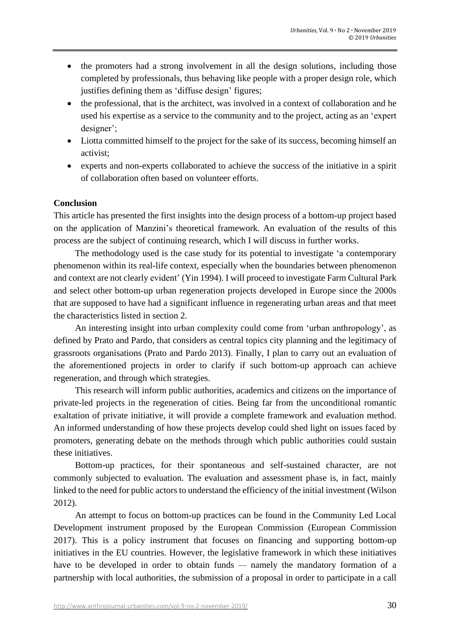- the promoters had a strong involvement in all the design solutions, including those completed by professionals, thus behaving like people with a proper design role, which justifies defining them as 'diffuse design' figures;
- the professional, that is the architect, was involved in a context of collaboration and he used his expertise as a service to the community and to the project, acting as an 'expert designer';
- Liotta committed himself to the project for the sake of its success, becoming himself an activist;
- experts and non-experts collaborated to achieve the success of the initiative in a spirit of collaboration often based on volunteer efforts.

### **Conclusion**

This article has presented the first insights into the design process of a bottom-up project based on the application of Manzini's theoretical framework. An evaluation of the results of this process are the subject of continuing research, which I will discuss in further works.

The methodology used is the case study for its potential to investigate 'a contemporary phenomenon within its real-life context, especially when the boundaries between phenomenon and context are not clearly evident' (Yin 1994). I will proceed to investigate Farm Cultural Park and select other bottom-up urban regeneration projects developed in Europe since the 2000s that are supposed to have had a significant influence in regenerating urban areas and that meet the characteristics listed in section 2.

An interesting insight into urban complexity could come from 'urban anthropology', as defined by Prato and Pardo, that considers as central topics city planning and the legitimacy of grassroots organisations (Prato and Pardo 2013). Finally, I plan to carry out an evaluation of the aforementioned projects in order to clarify if such bottom-up approach can achieve regeneration, and through which strategies.

This research will inform public authorities, academics and citizens on the importance of private-led projects in the regeneration of cities. Being far from the unconditional romantic exaltation of private initiative, it will provide a complete framework and evaluation method. An informed understanding of how these projects develop could shed light on issues faced by promoters, generating debate on the methods through which public authorities could sustain these initiatives.

Bottom-up practices, for their spontaneous and self-sustained character, are not commonly subjected to evaluation. The evaluation and assessment phase is, in fact, mainly linked to the need for public actors to understand the efficiency of the initial investment (Wilson 2012).

An attempt to focus on bottom-up practices can be found in the Community Led Local Development instrument proposed by the European Commission (European Commission 2017). This is a policy instrument that focuses on financing and supporting bottom-up initiatives in the EU countries. However, the legislative framework in which these initiatives have to be developed in order to obtain funds *—* namely the mandatory formation of a partnership with local authorities, the submission of a proposal in order to participate in a call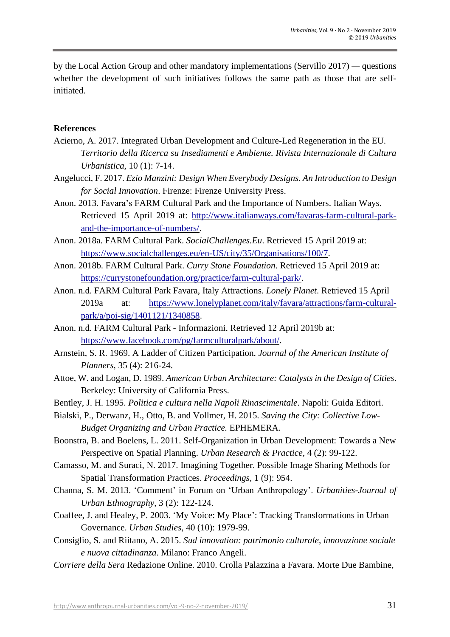by the Local Action Group and other mandatory implementations (Servillo 2017) *—* questions whether the development of such initiatives follows the same path as those that are selfinitiated.

#### **References**

- Acierno, A. 2017. Integrated Urban Development and Culture-Led Regeneration in the EU. *Territorio della Ricerca su Insediamenti e Ambiente. Rivista Internazionale di Cultura Urbanistica*, 10 (1): 7-14.
- Angelucci, F. 2017. *Ezio Manzini: Design When Everybody Designs. An Introduction to Design for Social Innovation*. Firenze: Firenze University Press.
- Anon. 2013. Favara's FARM Cultural Park and the Importance of Numbers. Italian Ways. Retrieved 15 April 2019 at: http://www.italianways.com/favaras-farm-cultural-parkand-the-importance-of-numbers/.
- Anon. 2018a. FARM Cultural Park. *SocialChallenges.Eu*. Retrieved 15 April 2019 at: https://www.socialchallenges.eu/en-US/city/35/Organisations/100/7.
- Anon. 2018b. FARM Cultural Park. *Curry Stone Foundation*. Retrieved 15 April 2019 at: https://currystonefoundation.org/practice/farm-cultural-park/.
- Anon. n.d. FARM Cultural Park Favara, Italy Attractions. *Lonely Planet*. Retrieved 15 April 2019a at: https://www.lonelyplanet.com/italy/favara/attractions/farm-culturalpark/a/poi-sig/1401121/1340858.
- Anon. n.d. FARM Cultural Park Informazioni. Retrieved 12 April 2019b at: https://www.facebook.com/pg/farmculturalpark/about/.
- Arnstein, S. R. 1969. A Ladder of Citizen Participation. *Journal of the American Institute of Planners*, 35 (4): 216-24.
- Attoe, W. and Logan, D. 1989. *American Urban Architecture: Catalysts in the Design of Cities*. Berkeley: University of California Press.
- Bentley, J. H. 1995. *Politica e cultura nella Napoli Rinascimentale*. Napoli: Guida Editori.
- Bialski, P., Derwanz, H., Otto, B. and Vollmer, H. 2015. *Saving the City: Collective Low-Budget Organizing and Urban Practice.* EPHEMERA.
- Boonstra, B. and Boelens, L. 2011. Self-Organization in Urban Development: Towards a New Perspective on Spatial Planning. *Urban Research & Practice*, 4 (2): 99-122.
- Camasso, M. and Suraci, N. 2017. Imagining Together. Possible Image Sharing Methods for Spatial Transformation Practices. *Proceedings*, 1 (9): 954.
- Channa, S. M. 2013. 'Comment' in Forum on 'Urban Anthropology'. *Urbanities-Journal of Urban Ethnography*, 3 (2): 122-124.
- Coaffee, J. and Healey, P. 2003. 'My Voice: My Place': Tracking Transformations in Urban Governance. *Urban Studies*, 40 (10): 1979-99.
- Consiglio, S. and Riitano, A. 2015. *Sud innovation: patrimonio culturale, innovazione sociale e nuova cittadinanza*. Milano: Franco Angeli.
- *Corriere della Sera* Redazione Online. 2010. Crolla Palazzina a Favara. Morte Due Bambine,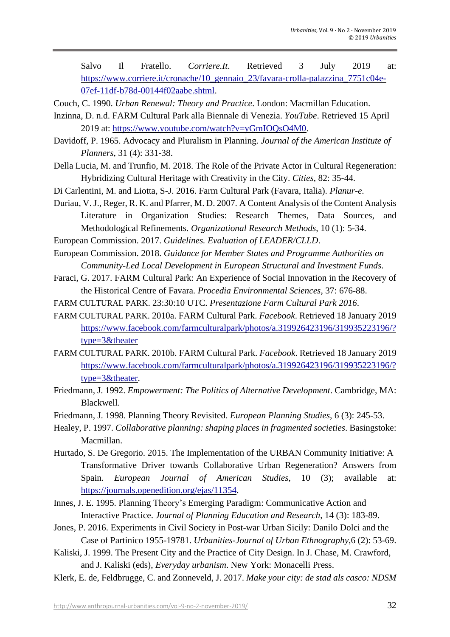Salvo Il Fratello. *Corriere.It*. Retrieved 3 July 2019 at: https://www.corriere.it/cronache/10\_gennaio\_23/favara-crolla-palazzina\_7751c04e-07ef-11df-b78d-00144f02aabe.shtml.

Couch, C. 1990. *Urban Renewal: Theory and Practice*. London: Macmillan Education.

- Inzinna, D. n.d. FARM Cultural Park alla Biennale di Venezia. *YouTube*. Retrieved 15 April 2019 at: https://www.youtube.com/watch?v=yGmIOQsO4M0.
- Davidoff, P. 1965. Advocacy and Pluralism in Planning. *Journal of the American Institute of Planners*, 31 (4): 331-38.
- Della Lucia, M. and Trunfio, M. 2018. The Role of the Private Actor in Cultural Regeneration: Hybridizing Cultural Heritage with Creativity in the City. *Cities*, 82: 35-44.
- Di Carlentini, M. and Liotta, S-J. 2016. Farm Cultural Park (Favara, Italia). *Planur-e*.
- Duriau, V. J., Reger, R. K. and Pfarrer, M. D. 2007. A Content Analysis of the Content Analysis Literature in Organization Studies: Research Themes, Data Sources, and Methodological Refinements. *Organizational Research Methods*, 10 (1): 5-34.
- European Commission. 2017. *Guidelines. Evaluation of LEADER/CLLD*.
- European Commission. 2018. *Guidance for Member States and Programme Authorities on Community-Led Local Development in European Structural and Investment Funds*.
- Faraci, G. 2017. FARM Cultural Park: An Experience of Social Innovation in the Recovery of the Historical Centre of Favara. *Procedia Environmental Sciences*, 37: 676-88.
- FARM CULTURAL PARK. 23:30:10 UTC. *Presentazione Farm Cultural Park 2016*.
- FARM CULTURAL PARK. 2010a. FARM Cultural Park. *Facebook*. Retrieved 18 January 2019 https://www.facebook.com/farmculturalpark/photos/a.319926423196/319935223196/? type=3&theater
- FARM CULTURAL PARK. 2010b. FARM Cultural Park. *Facebook*. Retrieved 18 January 2019 https://www.facebook.com/farmculturalpark/photos/a.319926423196/319935223196/? type=3&theater.
- Friedmann, J. 1992. *Empowerment: The Politics of Alternative Development*. Cambridge, MA: Blackwell.
- Friedmann, J. 1998. Planning Theory Revisited. *European Planning Studies*, 6 (3): 245-53.
- Healey, P. 1997. *Collaborative planning: shaping places in fragmented societies*. Basingstoke: Macmillan.
- Hurtado, S. De Gregorio. 2015. The Implementation of the URBAN Community Initiative: A Transformative Driver towards Collaborative Urban Regeneration? Answers from Spain. *European Journal of American Studies*, 10 (3); available at: [https://journals.openedition.org/ejas/11354.](https://journals.openedition.org/ejas/11354)
- Innes, J. E. 1995. Planning Theory's Emerging Paradigm: Communicative Action and Interactive Practice. *Journal of Planning Education and Research*, 14 (3): 183-89.
- Jones, P. 2016. Experiments in Civil Society in Post-war Urban Sicily: Danilo Dolci and the Case of Partinico 1955-19781. *Urbanities-Journal of Urban Ethnography*,6 (2): 53-69.
- Kaliski, J. 1999. The Present City and the Practice of City Design. In J. Chase, M. Crawford, and J. Kaliski (eds), *Everyday urbanism*. New York: Monacelli Press.
- Klerk, E. de, Feldbrugge, C. and Zonneveld, J. 2017. *Make your city: de stad als casco: NDSM*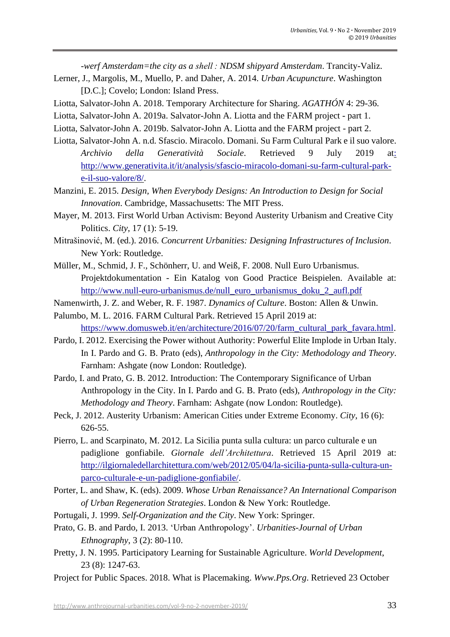*-werf Amsterdam=the city as a shell : NDSM shipyard Amsterdam*. Trancity-Valiz.

- Lerner, J., Margolis, M., Muello, P. and Daher, A. 2014. *Urban Acupuncture*. Washington [D.C.]; Covelo; London: Island Press.
- Liotta, Salvator-John A. 2018. Temporary Architecture for Sharing. *AGATHÓN* 4: 29-36.
- Liotta, Salvator-John A. 2019a. Salvator-John A. Liotta and the FARM project part 1.
- Liotta, Salvator-John A. 2019b. Salvator-John A. Liotta and the FARM project part 2.
- Liotta, Salvator-John A. n.d. Sfascio. Miracolo. Domani. Su Farm Cultural Park e il suo valore. *Archivio della Generatività Sociale*. Retrieved 9 July 2019 at: http://www.generativita.it/it/analysis/sfascio-miracolo-domani-su-farm-cultural-parke-il-suo-valore/8/.
- Manzini, E. 2015. *Design, When Everybody Designs: An Introduction to Design for Social Innovation*. Cambridge, Massachusetts: The MIT Press.
- Mayer, M. 2013. First World Urban Activism: Beyond Austerity Urbanism and Creative City Politics. *City*, 17 (1): 5-19.
- Mitrašinović, M. (ed.). 2016. *Concurrent Urbanities: Designing Infrastructures of Inclusion*. New York: Routledge.
- Müller, M., Schmid, J. F., Schönherr, U. and Weiß, F. 2008. Null Euro Urbanismus. Projektdokumentation - Ein Katalog von Good Practice Beispielen. Available at: http://www.null-euro-urbanismus.de/null\_euro\_urbanismus\_doku\_2\_aufl.pdf
- Namenwirth, J. Z. and Weber, R. F. 1987. *Dynamics of Culture*. Boston: Allen & Unwin.
- Palumbo, M. L. 2016. FARM Cultural Park. Retrieved 15 April 2019 at: https://www.domusweb.it/en/architecture/2016/07/20/farm\_cultural\_park\_favara.html.
- Pardo, I. 2012. Exercising the Power without Authority: Powerful Elite Implode in Urban Italy. In I. Pardo and G. B. Prato (eds), *Anthropology in the City: Methodology and Theory*. Farnham: Ashgate (now London: Routledge).
- Pardo, I. and Prato, G. B. 2012. Introduction: The Contemporary Significance of Urban Anthropology in the City. In I. Pardo and G. B. Prato (eds), *Anthropology in the City: Methodology and Theory*. Farnham: Ashgate (now London: Routledge).
- Peck, J. 2012. Austerity Urbanism: American Cities under Extreme Economy. *City*, 16 (6): 626-55.
- Pierro, L. and Scarpinato, M. 2012. La Sicilia punta sulla cultura: un parco culturale e un padiglione gonfiabile. *Giornale dell'Architettura*. Retrieved 15 April 2019 at: http://ilgiornaledellarchitettura.com/web/2012/05/04/la-sicilia-punta-sulla-cultura-unparco-culturale-e-un-padiglione-gonfiabile/.
- Porter, L. and Shaw, K. (eds). 2009. *Whose Urban Renaissance? An International Comparison of Urban Regeneration Strategies*. London & New York: Routledge.
- Portugali, J. 1999. *Self-Organization and the City*. New York: Springer.
- Prato, G. B. and Pardo, I. 2013. 'Urban Anthropology'. *Urbanities-Journal of Urban Ethnography*, 3 (2): 80-110.
- Pretty, J. N. 1995. Participatory Learning for Sustainable Agriculture. *World Development*, 23 (8): 1247-63.
- Project for Public Spaces. 2018. What is Placemaking. *Www.Pps.Org*. Retrieved 23 October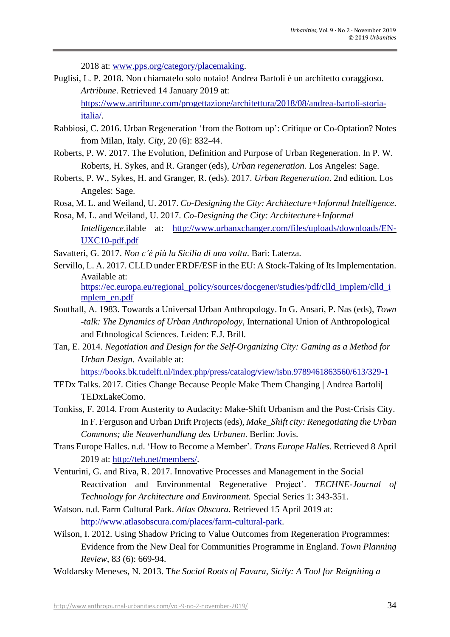2018 at: www.pps.org/category/placemaking.

Puglisi, L. P. 2018. Non chiamatelo solo notaio! Andrea Bartoli è un architetto coraggioso. *Artribune*. Retrieved 14 January 2019 at: https://www.artribune.com/progettazione/architettura/2018/08/andrea-bartoli-storia-

italia/.

- Rabbiosi, C. 2016. Urban Regeneration 'from the Bottom up': Critique or Co-Optation? Notes from Milan, Italy. *City*, 20 (6): 832-44.
- Roberts, P. W. 2017. The Evolution, Definition and Purpose of Urban Regeneration. In P. W. Roberts, H. Sykes, and R. Granger (eds), *Urban regeneration.* Los Angeles: Sage.
- Roberts, P. W., Sykes, H. and Granger, R. (eds). 2017. *Urban Regeneration*. 2nd edition. Los Angeles: Sage.
- Rosa, M. L. and Weiland, U. 2017. *Co-Designing the City: Architecture+Informal Intelligence*.
- Rosa, M. L. and Weiland, U. 2017. *Co-Designing the City: Architecture+Informal Intelligence*.ilable at: http://www.urbanxchanger.com/files/uploads/downloads/EN-UXC10-pdf.pdf

Savatteri, G. 2017. *Non c'è più la Sicilia di una volta*. Bari: Laterza.

- Servillo, L. A. 2017. CLLD under ERDF/ESF in the EU: A Stock-Taking of Its Implementation. Available at: https://ec.europa.eu/regional\_policy/sources/docgener/studies/pdf/clld\_implem/clld\_i mplem\_en.pdf
- Southall, A. 1983. Towards a Universal Urban Anthropology. In G. Ansari, P. Nas (eds), *Town -talk: Yhe Dynamics of Urban Anthropology*, International Union of Anthropological and Ethnological Sciences. Leiden: E.J. Brill.
- Tan, E. 2014. *Negotiation and Design for the Self-Organizing City: Gaming as a Method for Urban Design*. Available at: <https://books.bk.tudelft.nl/index.php/press/catalog/view/isbn.9789461863560/613/329-1>
- TEDx Talks. 2017. Cities Change Because People Make Them Changing | Andrea Bartoli| TEDxLakeComo.
- Tonkiss, F. 2014. From Austerity to Audacity: Make-Shift Urbanism and the Post-Crisis City. In F. Ferguson and Urban Drift Projects(eds), *Make\_Shift city: Renegotiating the Urban Commons; die Neuverhandlung des Urbanen*. Berlin: Jovis.
- Trans Europe Halles. n.d. 'How to Become a Member'. *Trans Europe Halles*. Retrieved 8 April 2019 at: http://teh.net/members/.
- Venturini, G. and Riva, R. 2017. Innovative Processes and Management in the Social Reactivation and Environmental Regenerative Project'. *TECHNE-Journal of Technology for Architecture and Environment.* Special Series 1: 343-351.
- Watson. n.d. Farm Cultural Park. *Atlas Obscura*. Retrieved 15 April 2019 at: http://www.atlasobscura.com/places/farm-cultural-park.
- Wilson, I. 2012. Using Shadow Pricing to Value Outcomes from Regeneration Programmes: Evidence from the New Deal for Communities Programme in England. *Town Planning Review*, 83 (6): 669-94.
- Woldarsky Meneses, N. 2013. T*he Social Roots of Favara, Sicily: A Tool for Reigniting a*